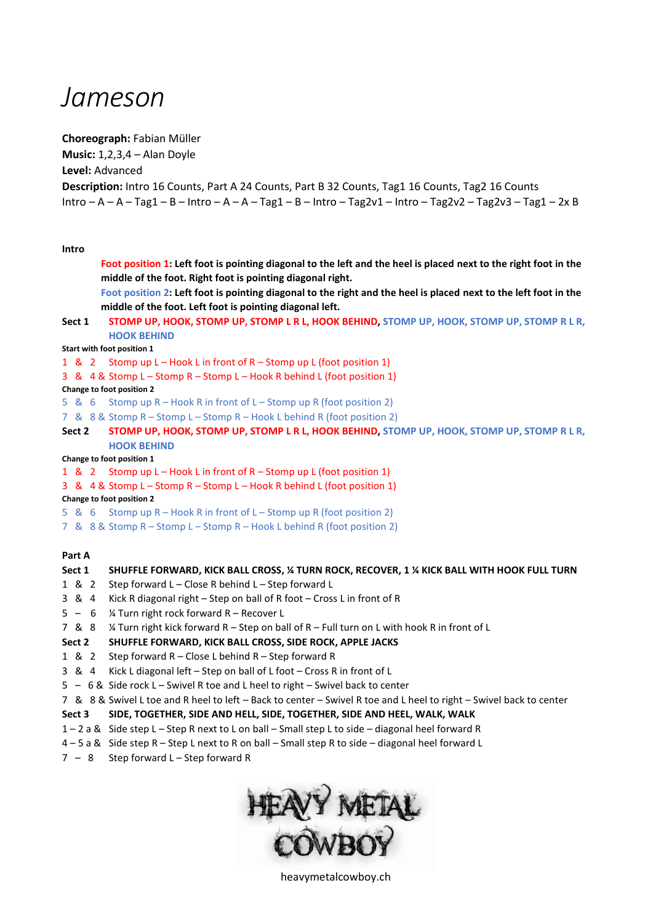# *Jameson*

**Choreograph:** Fabian Müller

**Music:** 1,2,3,4 – Alan Doyle

**Level:** Advanced

**Description:** Intro 16 Counts, Part A 24 Counts, Part B 32 Counts, Tag1 16 Counts, Tag2 16 Counts

Intro – A – A – Tag1 – B – Intro – A – A – Tag1 – B – Intro – Tag2v1 – Intro – Tag2v2 – Tag2v3 – Tag1 – 2x B

**Intro**

**Foot position 1: Left foot is pointing diagonal to the left and the heel is placed next to the right foot in the middle of the foot. Right foot is pointing diagonal right. Foot position 2: Left foot is pointing diagonal to the right and the heel is placed next to the left foot in the middle of the foot. Left foot is pointing diagonal left.** Sect 1 STOMP UP, HOOK, STOMP UP, STOMP L R L, HOOK BEHIND, STOMP UP, HOOK, STOMP UP, STOMP R L R, **HOOK BEHIND Start with foot position 1** 1 & 2 Stomp up L – Hook L in front of R – Stomp up L (foot position 1) 3 & 4 & Stomp L – Stomp R – Stomp L – Hook R behind L (foot position 1) **Change to foot position 2** 5 & 6 Stomp up R – Hook R in front of L – Stomp up R (foot position 2) 7 & 8 & Stomp R – Stomp L – Stomp R – Hook L behind R (foot position 2) Sect 2 STOMP UP, HOOK, STOMP UP, STOMP L R L, HOOK BEHIND, STOMP UP, HOOK, STOMP UP, STOMP R L R, **HOOK BEHIND Change to foot position 1** 1 & 2 Stomp up L – Hook L in front of R – Stomp up L (foot position 1) 3 & 4 & Stomp L – Stomp R – Stomp L – Hook R behind L (foot position 1) **Change to foot position 2** 5 & 6 Stomp up R – Hook R in front of L – Stomp up R (foot position 2) 7 & 8 & Stomp R – Stomp L – Stomp R – Hook L behind R (foot position 2) **Part A Sect 1 SHUFFLE FORWARD, KICK BALL CROSS, ¼ TURN ROCK, RECOVER, 1 ¼ KICK BALL WITH HOOK FULL TURN** 1 & 2 Step forward L – Close R behind L – Step forward L 3 & 4 Kick R diagonal right – Step on ball of R foot – Cross L in front of R

- 5 6 ¼ Turn right rock forward R Recover L
- 7 & 8 ¼ Turn right kick forward R Step on ball of R Full turn on L with hook R in front of L

# **Sect 2 SHUFFLE FORWARD, KICK BALL CROSS, SIDE ROCK, APPLE JACKS**

- 1 & 2 Step forward R Close L behind R Step forward R
- 3 & 4 Kick L diagonal left Step on ball of L foot Cross R in front of L
- 5 6 & Side rock L Swivel R toe and L heel to right Swivel back to center
- 7 & 8 & Swivel L toe and R heel to left Back to center Swivel R toe and L heel to right Swivel back to center

# **Sect 3 SIDE, TOGETHER, SIDE AND HELL, SIDE, TOGETHER, SIDE AND HEEL, WALK, WALK**

- 1 2 a & Side step L Step R next to L on ball Small step L to side diagonal heel forward R
- 4 5 a & Side step R Step L next to R on ball Small step R to side diagonal heel forward L
- $7 8$  Step forward L Step forward R



heavymetalcowboy.ch